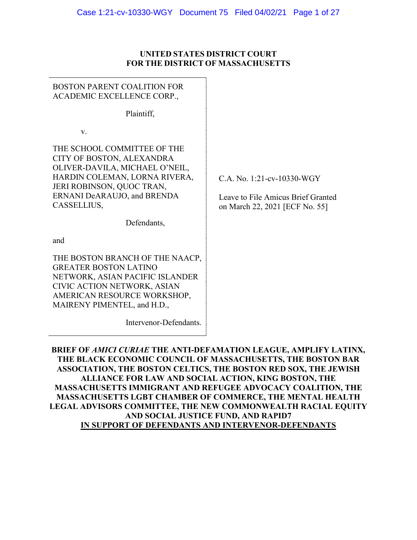### **UNITED STATES DISTRICT COURT FOR THE DISTRICT OF MASSACHUSETTS**

## BOSTON PARENT COALITION FOR ACADEMIC EXCELLENCE CORP.,

Plaintiff,

v.

THE SCHOOL COMMITTEE OF THE CITY OF BOSTON, ALEXANDRA OLIVER-DAVILA, MICHAEL O'NEIL, HARDIN COLEMAN, LORNA RIVERA, JERI ROBINSON, QUOC TRAN, ERNANI DeARAUJO, and BRENDA CASSELLIUS,

Defendants,

and

THE BOSTON BRANCH OF THE NAACP, GREATER BOSTON LATINO NETWORK, ASIAN PACIFIC ISLANDER CIVIC ACTION NETWORK, ASIAN AMERICAN RESOURCE WORKSHOP, MAIRENY PIMENTEL, and H.D.,

Intervenor-Defendants.

C.A. No. 1:21-cv-10330-WGY

Leave to File Amicus Brief Granted on March 22, 2021 [ECF No. 55]

**BRIEF OF** *AMICI CURIAE* **THE ANTI-DEFAMATION LEAGUE, AMPLIFY LATINX, THE BLACK ECONOMIC COUNCIL OF MASSACHUSETTS, THE BOSTON BAR ASSOCIATION, THE BOSTON CELTICS, THE BOSTON RED SOX, THE JEWISH ALLIANCE FOR LAW AND SOCIAL ACTION, KING BOSTON, THE MASSACHUSETTS IMMIGRANT AND REFUGEE ADVOCACY COALITION, THE MASSACHUSETTS LGBT CHAMBER OF COMMERCE, THE MENTAL HEALTH LEGAL ADVISORS COMMITTEE, THE NEW COMMONWEALTH RACIAL EQUITY AND SOCIAL JUSTICE FUND, AND RAPID7 IN SUPPORT OF DEFENDANTS AND INTERVENOR-DEFENDANTS**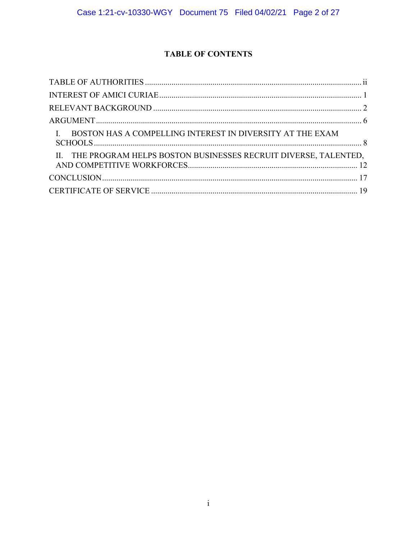# **TABLE OF CONTENTS**

| I. BOSTON HAS A COMPELLING INTEREST IN DIVERSITY AT THE EXAM       |
|--------------------------------------------------------------------|
| II. THE PROGRAM HELPS BOSTON BUSINESSES RECRUIT DIVERSE, TALENTED, |
|                                                                    |
|                                                                    |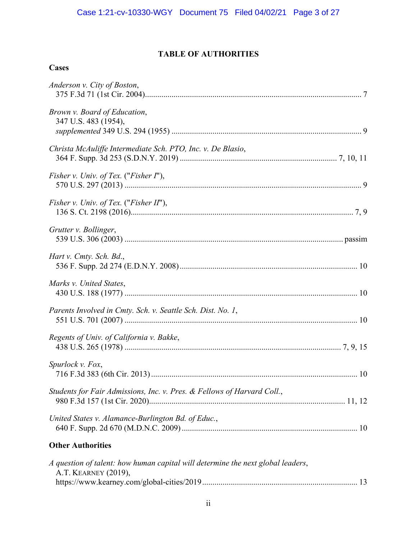# **TABLE OF AUTHORITIES**

# <span id="page-2-0"></span>**Cases**

| Anderson v. City of Boston,                                                                             |  |
|---------------------------------------------------------------------------------------------------------|--|
| Brown v. Board of Education,<br>347 U.S. 483 (1954),                                                    |  |
| Christa McAuliffe Intermediate Sch. PTO, Inc. v. De Blasio,                                             |  |
| <i>Fisher v. Univ. of Tex.</i> (" <i>Fisher I</i> "),                                                   |  |
| Fisher v. Univ. of Tex. ("Fisher II"),                                                                  |  |
| Grutter v. Bollinger,                                                                                   |  |
| Hart v. Cmty. Sch. Bd.,                                                                                 |  |
| Marks v. United States,                                                                                 |  |
| Parents Involved in Cmty. Sch. v. Seattle Sch. Dist. No. 1,                                             |  |
| Regents of Univ. of California v. Bakke,                                                                |  |
| Spurlock v. Fox,                                                                                        |  |
| Students for Fair Admissions, Inc. v. Pres. & Fellows of Harvard Coll.,                                 |  |
| United States v. Alamance-Burlington Bd. of Educ.,                                                      |  |
| <b>Other Authorities</b>                                                                                |  |
| A question of talent: how human capital will determine the next global leaders,<br>A.T. KEARNEY (2019), |  |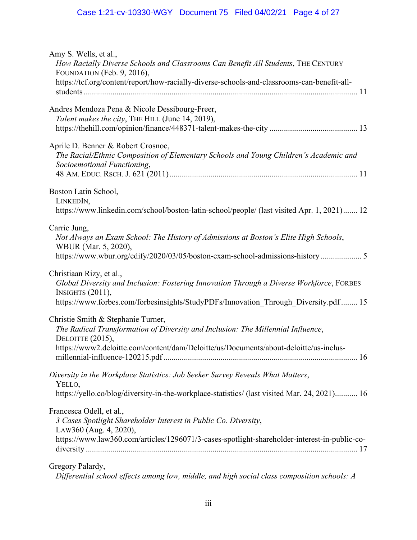# Case 1:21-cv-10330-WGY Document 75 Filed 04/02/21 Page 4 of 27

| Amy S. Wells, et al.,<br>How Racially Diverse Schools and Classrooms Can Benefit All Students, THE CENTURY<br>FOUNDATION (Feb. 9, 2016),<br>https://tcf.org/content/report/how-racially-diverse-schools-and-classrooms-can-benefit-all- |
|-----------------------------------------------------------------------------------------------------------------------------------------------------------------------------------------------------------------------------------------|
| Andres Mendoza Pena & Nicole Dessibourg-Freer,<br>Talent makes the city, THE HILL (June 14, 2019),                                                                                                                                      |
| Aprile D. Benner & Robert Crosnoe,<br>The Racial/Ethnic Composition of Elementary Schools and Young Children's Academic and<br>Socioemotional Functioning,                                                                              |
| Boston Latin School,<br>LINKEDIN,<br>https://www.linkedin.com/school/boston-latin-school/people/ (last visited Apr. 1, 2021) 12                                                                                                         |
| Carrie Jung,<br>Not Always an Exam School: The History of Admissions at Boston's Elite High Schools,<br>WBUR (Mar. 5, 2020),<br>https://www.wbur.org/edify/2020/03/05/boston-exam-school-admissions-history 5                           |
| Christiaan Rizy, et al.,<br>Global Diversity and Inclusion: Fostering Innovation Through a Diverse Workforce, FORBES<br>INSIGHTS $(2011)$ ,<br>https://www.forbes.com/forbesinsights/StudyPDFs/Innovation_Through_Diversity.pdf  15     |
| Christie Smith & Stephanie Turner,<br>The Radical Transformation of Diversity and Inclusion: The Millennial Influence,<br>DELOITTE (2015),<br>https://www2.deloitte.com/content/dam/Deloitte/us/Documents/about-deloitte/us-inclus-     |
| Diversity in the Workplace Statistics: Job Seeker Survey Reveals What Matters,<br>YELLO,<br>https://yello.co/blog/diversity-in-the-workplace-statistics/ (last visited Mar. 24, 2021) 16                                                |
| Francesca Odell, et al.,<br>3 Cases Spotlight Shareholder Interest in Public Co. Diversity,<br>LAW360 (Aug. 4, 2020),<br>https://www.law360.com/articles/1296071/3-cases-spotlight-shareholder-interest-in-public-co-                   |
| Gregory Palardy,<br>Differential school effects among low, middle, and high social class composition schools: A                                                                                                                         |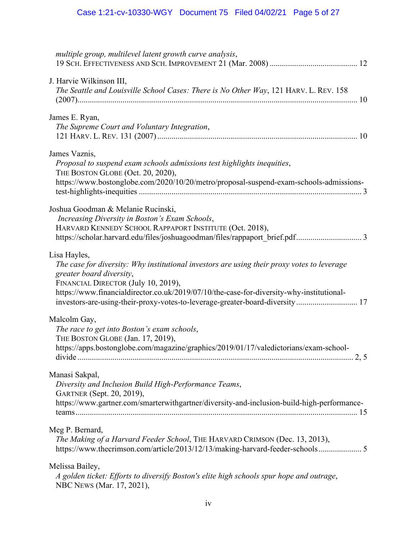| multiple group, multilevel latent growth curve analysis,                                                                                                                                                                                                                                                                                                   |
|------------------------------------------------------------------------------------------------------------------------------------------------------------------------------------------------------------------------------------------------------------------------------------------------------------------------------------------------------------|
| J. Harvie Wilkinson III,<br>The Seattle and Louisville School Cases: There is No Other Way, 121 HARV. L. REV. 158                                                                                                                                                                                                                                          |
| James E. Ryan,<br>The Supreme Court and Voluntary Integration,                                                                                                                                                                                                                                                                                             |
| James Vaznis,<br>Proposal to suspend exam schools admissions test highlights inequities,<br>THE BOSTON GLOBE (Oct. 20, 2020),<br>https://www.bostonglobe.com/2020/10/20/metro/proposal-suspend-exam-schools-admissions-                                                                                                                                    |
| Joshua Goodman & Melanie Rucinski,<br>Increasing Diversity in Boston's Exam Schools,<br>HARVARD KENNEDY SCHOOL RAPPAPORT INSTITUTE (Oct. 2018),<br>https://scholar.harvard.edu/files/joshuagoodman/files/rappaport_brief.pdf 3                                                                                                                             |
| Lisa Hayles,<br>The case for diversity: Why institutional investors are using their proxy votes to leverage<br>greater board diversity,<br>FINANCIAL DIRECTOR (July 10, 2019),<br>https://www.financialdirector.co.uk/2019/07/10/the-case-for-diversity-why-institutional-<br>investors-are-using-their-proxy-votes-to-leverage-greater-board-diversity 17 |
| Malcolm Gay,<br>The race to get into Boston's exam schools,<br>THE BOSTON GLOBE (Jan. 17, 2019),<br>https://apps.bostonglobe.com/magazine/graphics/2019/01/17/valedictorians/exam-school-                                                                                                                                                                  |
| Manasi Sakpal,<br>Diversity and Inclusion Build High-Performance Teams,<br>GARTNER (Sept. 20, 2019),<br>https://www.gartner.com/smarterwithgartner/diversity-and-inclusion-build-high-performance-                                                                                                                                                         |
| Meg P. Bernard,<br>The Making of a Harvard Feeder School, THE HARVARD CRIMSON (Dec. 13, 2013),<br>https://www.thecrimson.com/article/2013/12/13/making-harvard-feeder-schools 5                                                                                                                                                                            |
| Melissa Bailey,<br>A golden ticket: Efforts to diversify Boston's elite high schools spur hope and outrage,<br>NBC NEWS (Mar. 17, 2021),                                                                                                                                                                                                                   |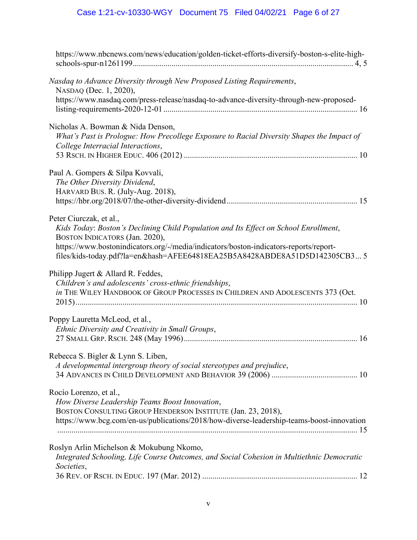# Case 1:21-cv-10330-WGY Document 75 Filed 04/02/21 Page 6 of 27

| https://www.nbcnews.com/news/education/golden-ticket-efforts-diversify-boston-s-elite-high-                                                                                                                                                                                                                             |
|-------------------------------------------------------------------------------------------------------------------------------------------------------------------------------------------------------------------------------------------------------------------------------------------------------------------------|
| Nasdaq to Advance Diversity through New Proposed Listing Requirements,<br>NASDAQ (Dec. 1, 2020),<br>https://www.nasdaq.com/press-release/nasdaq-to-advance-diversity-through-new-proposed-                                                                                                                              |
| Nicholas A. Bowman & Nida Denson,<br>What's Past is Prologue: How Precollege Exposure to Racial Diversity Shapes the Impact of<br>College Interracial Interactions,                                                                                                                                                     |
| Paul A. Gompers & Silpa Kovvali,<br>The Other Diversity Dividend,<br>HARVARD BUS. R. (July-Aug. 2018),                                                                                                                                                                                                                  |
| Peter Ciurczak, et al.,<br>Kids Today: Boston's Declining Child Population and Its Effect on School Enrollment,<br>BOSTON INDICATORS (Jan. 2020),<br>https://www.bostonindicators.org/-/media/indicators/boston-indicators-reports/report-<br>files/kids-today.pdf?la=en&hash=AFEE64818EA25B5A8428ABDE8A51D5D142305CB35 |
| Philipp Jugert & Allard R. Feddes,<br>Children's and adolescents' cross-ethnic friendships,<br>in THE WILEY HANDBOOK OF GROUP PROCESSES IN CHILDREN AND ADOLESCENTS 373 (Oct.                                                                                                                                           |
| Poppy Lauretta McLeod, et al.,<br>Ethnic Diversity and Creativity in Small Groups,                                                                                                                                                                                                                                      |
| Rebecca S. Bigler & Lynn S. Liben,<br>A developmental intergroup theory of social stereotypes and prejudice,                                                                                                                                                                                                            |
| Rocío Lorenzo, et al.,<br>How Diverse Leadership Teams Boost Innovation,<br>BOSTON CONSULTING GROUP HENDERSON INSTITUTE (Jan. 23, 2018),<br>https://www.bcg.com/en-us/publications/2018/how-diverse-leadership-teams-boost-innovation                                                                                   |
| Roslyn Arlin Michelson & Mokubung Nkomo,<br>Integrated Schooling, Life Course Outcomes, and Social Cohesion in Multiethnic Democratic<br>Societies,                                                                                                                                                                     |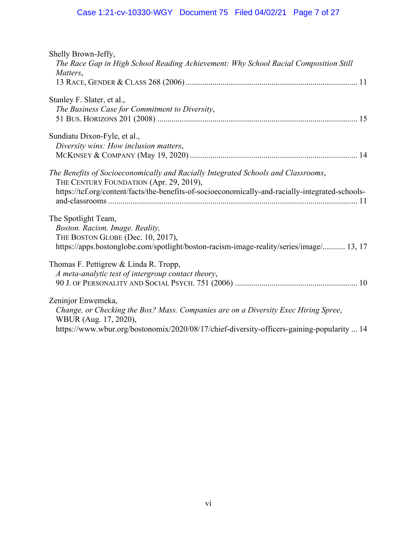# Case 1:21-cv-10330-WGY Document 75 Filed 04/02/21 Page 7 of 27

| Shelly Brown-Jeffy,<br>The Race Gap in High School Reading Achievement: Why School Racial Composition Still |
|-------------------------------------------------------------------------------------------------------------|
| Matters,                                                                                                    |
|                                                                                                             |
|                                                                                                             |
| Stanley F. Slater, et al.,                                                                                  |
| The Business Case for Commitment to Diversity,                                                              |
|                                                                                                             |
| Sundiatu Dixon-Fyle, et al.,                                                                                |
| Diversity wins: How inclusion matters,                                                                      |
|                                                                                                             |
|                                                                                                             |
| The Benefits of Socioeconomically and Racially Integrated Schools and Classrooms,                           |
| THE CENTURY FOUNDATION (Apr. 29, 2019),                                                                     |
| https://tcf.org/content/facts/the-benefits-of-socioeconomically-and-racially-integrated-schools-            |
|                                                                                                             |
|                                                                                                             |
| The Spotlight Team,                                                                                         |
| Boston. Racism. Image. Reality,                                                                             |
| THE BOSTON GLOBE (Dec. 10, 2017),                                                                           |
| https://apps.bostonglobe.com/spotlight/boston-racism-image-reality/series/image/ 13, 17                     |
| Thomas F. Pettigrew & Linda R. Tropp,                                                                       |
| A meta-analytic test of intergroup contact theory,                                                          |
|                                                                                                             |
|                                                                                                             |
| Zeninjor Enwemeka,                                                                                          |
| Change, or Checking the Box? Mass. Companies are on a Diversity Exec Hiring Spree,                          |
| WBUR (Aug. 17, 2020),                                                                                       |
| https://www.wbur.org/bostonomix/2020/08/17/chief-diversity-officers-gaining-popularity  14                  |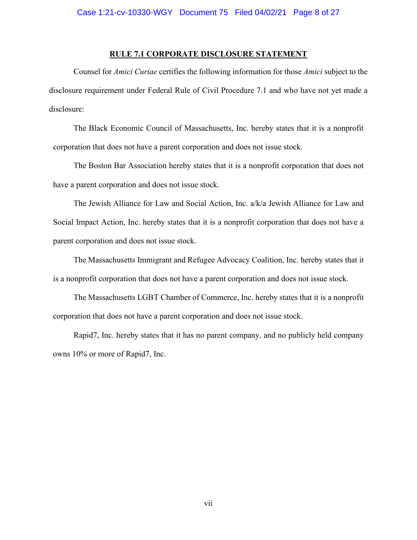#### **RULE 7.1 CORPORATE DISCLOSURE STATEMENT**

Counsel for *Amici Curiae* certifies the following information for those *Amici* subject to the disclosure requirement under Federal Rule of Civil Procedure 7.1 and who have not yet made a disclosure:

The Black Economic Council of Massachusetts, Inc. hereby states that it is a nonprofit corporation that does not have a parent corporation and does not issue stock.

The Boston Bar Association hereby states that it is a nonprofit corporation that does not have a parent corporation and does not issue stock.

The Jewish Alliance for Law and Social Action, Inc. a/k/a Jewish Alliance for Law and Social Impact Action, Inc. hereby states that it is a nonprofit corporation that does not have a parent corporation and does not issue stock.

The Massachusetts Immigrant and Refugee Advocacy Coalition, Inc. hereby states that it is a nonprofit corporation that does not have a parent corporation and does not issue stock.

The Massachusetts LGBT Chamber of Commerce, Inc. hereby states that it is a nonprofit corporation that does not have a parent corporation and does not issue stock.

Rapid7, Inc. hereby states that it has no parent company, and no publicly held company owns 10% or more of Rapid7, Inc.

vii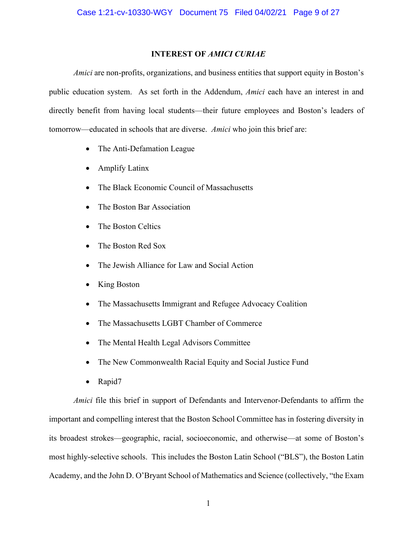#### **INTEREST OF** *AMICI CURIAE*

<span id="page-8-0"></span>*Amici* are non-profits, organizations, and business entities that support equity in Boston's public education system. As set forth in the Addendum, *Amici* each have an interest in and directly benefit from having local students—their future employees and Boston's leaders of tomorrow—educated in schools that are diverse. *Amici* who join this brief are:

- The Anti-Defamation League
- Amplify Latinx
- The Black Economic Council of Massachusetts
- The Boston Bar Association
- The Boston Celtics
- The Boston Red Sox
- The Jewish Alliance for Law and Social Action
- King Boston
- The Massachusetts Immigrant and Refugee Advocacy Coalition
- The Massachusetts LGBT Chamber of Commerce
- The Mental Health Legal Advisors Committee
- The New Commonwealth Racial Equity and Social Justice Fund
- Rapid7

*Amici* file this brief in support of Defendants and Intervenor-Defendants to affirm the important and compelling interest that the Boston School Committee has in fostering diversity in its broadest strokes—geographic, racial, socioeconomic, and otherwise—at some of Boston's most highly-selective schools. This includes the Boston Latin School ("BLS"), the Boston Latin Academy, and the John D. O'Bryant School of Mathematics and Science (collectively, "the Exam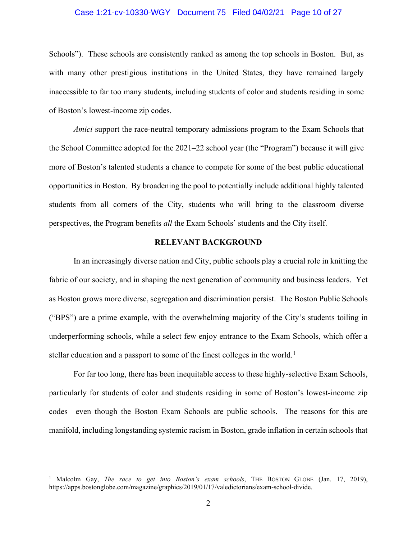#### Case 1:21-cv-10330-WGY Document 75 Filed 04/02/21 Page 10 of 27

Schools"). These schools are consistently ranked as among the top schools in Boston. But, as with many other prestigious institutions in the United States, they have remained largely inaccessible to far too many students, including students of color and students residing in some of Boston's lowest-income zip codes.

*Amici* support the race-neutral temporary admissions program to the Exam Schools that the School Committee adopted for the 2021–22 school year (the "Program") because it will give more of Boston's talented students a chance to compete for some of the best public educational opportunities in Boston. By broadening the pool to potentially include additional highly talented students from all corners of the City, students who will bring to the classroom diverse perspectives, the Program benefits *all* the Exam Schools' students and the City itself.

#### **RELEVANT BACKGROUND**

<span id="page-9-0"></span>In an increasingly diverse nation and City, public schools play a crucial role in knitting the fabric of our society, and in shaping the next generation of community and business leaders. Yet as Boston grows more diverse, segregation and discrimination persist. The Boston Public Schools ("BPS") are a prime example, with the overwhelming majority of the City's students toiling in underperforming schools, while a select few enjoy entrance to the Exam Schools, which offer a stellar education and a passport to some of the finest colleges in the world.<sup>[1](#page-9-1)</sup>

For far too long, there has been inequitable access to these highly-selective Exam Schools, particularly for students of color and students residing in some of Boston's lowest-income zip codes—even though the Boston Exam Schools are public schools. The reasons for this are manifold, including longstanding systemic racism in Boston, grade inflation in certain schools that

<span id="page-9-1"></span><sup>1</sup> Malcolm Gay, *The race to get into Boston's exam schools*, THE BOSTON GLOBE (Jan. 17, 2019), https://apps.bostonglobe.com/magazine/graphics/2019/01/17/valedictorians/exam-school-divide.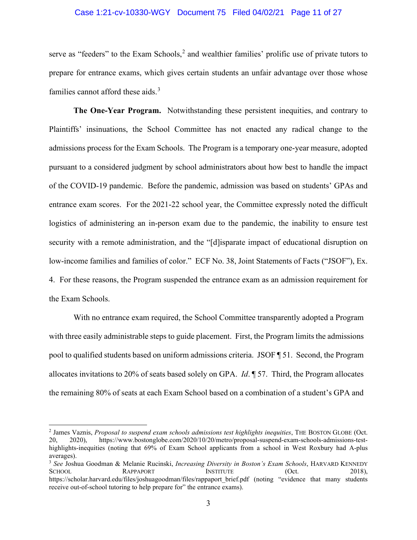#### Case 1:21-cv-10330-WGY Document 75 Filed 04/02/21 Page 11 of 27

serve as "feeders" to the Exam Schools,<sup>[2](#page-10-0)</sup> and wealthier families' prolific use of private tutors to prepare for entrance exams, which gives certain students an unfair advantage over those whose families cannot afford these aids. [3](#page-10-1)

**The One-Year Program.** Notwithstanding these persistent inequities, and contrary to Plaintiffs' insinuations, the School Committee has not enacted any radical change to the admissions process for the Exam Schools. The Program is a temporary one-year measure, adopted pursuant to a considered judgment by school administrators about how best to handle the impact of the COVID-19 pandemic. Before the pandemic, admission was based on students' GPAs and entrance exam scores. For the 2021-22 school year, the Committee expressly noted the difficult logistics of administering an in-person exam due to the pandemic, the inability to ensure test security with a remote administration, and the "[d]isparate impact of educational disruption on low-income families and families of color." ECF No. 38, Joint Statements of Facts ("JSOF"), Ex. 4. For these reasons, the Program suspended the entrance exam as an admission requirement for the Exam Schools.

With no entrance exam required, the School Committee transparently adopted a Program with three easily administrable steps to guide placement. First, the Program limits the admissions pool to qualified students based on uniform admissions criteria. JSOF ¶ 51. Second, the Program allocates invitations to 20% of seats based solely on GPA. *Id*. ¶ 57. Third, the Program allocates the remaining 80% of seats at each Exam School based on a combination of a student's GPA and

<span id="page-10-0"></span><sup>2</sup> James Vaznis, *Proposal to suspend exam schools admissions test highlights inequities*, THE BOSTON GLOBE (Oct. 20, 2020), https://www.bostonglobe.com/2020/10/20/metro/proposal-suspend-exam-schools-admissions-testhighlights-inequities (noting that 69% of Exam School applicants from a school in West Roxbury had A-plus averages).

<span id="page-10-1"></span><sup>3</sup> *See* Joshua Goodman & Melanie Rucinski, *Increasing Diversity in Boston's Exam Schools*, HARVARD KENNEDY SCHOOL RAPPAPORT INSTITUTE (Oct. 2018), https://scholar.harvard.edu/files/joshuagoodman/files/rappaport\_brief.pdf (noting "evidence that many students receive out-of-school tutoring to help prepare for" the entrance exams).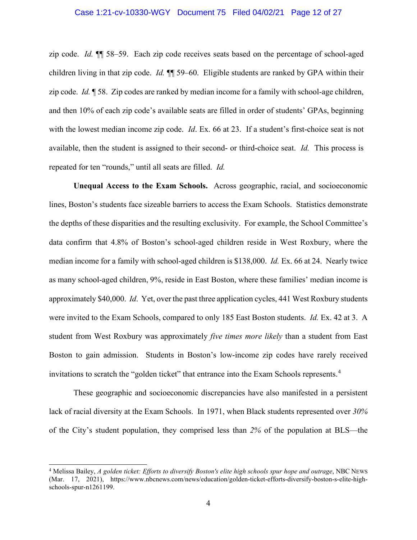#### Case 1:21-cv-10330-WGY Document 75 Filed 04/02/21 Page 12 of 27

zip code. *Id.* ¶¶ 58–59. Each zip code receives seats based on the percentage of school-aged children living in that zip code. *Id.* ¶¶ 59–60. Eligible students are ranked by GPA within their zip code. *Id.* ¶ 58. Zip codes are ranked by median income for a family with school-age children, and then 10% of each zip code's available seats are filled in order of students' GPAs, beginning with the lowest median income zip code. *Id*. Ex. 66 at 23. If a student's first-choice seat is not available, then the student is assigned to their second- or third-choice seat. *Id.* This process is repeated for ten "rounds," until all seats are filled. *Id.*

**Unequal Access to the Exam Schools.** Across geographic, racial, and socioeconomic lines, Boston's students face sizeable barriers to access the Exam Schools. Statistics demonstrate the depths of these disparities and the resulting exclusivity. For example, the School Committee's data confirm that 4.8% of Boston's school-aged children reside in West Roxbury, where the median income for a family with school-aged children is \$138,000. *Id.* Ex. 66 at 24. Nearly twice as many school-aged children, 9%, reside in East Boston, where these families' median income is approximately \$40,000. *Id*. Yet, over the past three application cycles, 441 West Roxbury students were invited to the Exam Schools, compared to only 185 East Boston students. *Id.* Ex. 42 at 3. A student from West Roxbury was approximately *five times more likely* than a student from East Boston to gain admission. Students in Boston's low-income zip codes have rarely received invitations to scratch the "golden ticket" that entrance into the Exam Schools represents.<sup>[4](#page-11-0)</sup>

These geographic and socioeconomic discrepancies have also manifested in a persistent lack of racial diversity at the Exam Schools. In 1971, when Black students represented over *30%* of the City's student population, they comprised less than *2%* of the population at BLS—the

<span id="page-11-0"></span><sup>4</sup> Melissa Bailey, *A golden ticket: Efforts to diversify Boston's elite high schools spur hope and outrage*, NBC NEWS (Mar. 17, 2021), https://www.nbcnews.com/news/education/golden-ticket-efforts-diversify-boston-s-elite-highschools-spur-n1261199.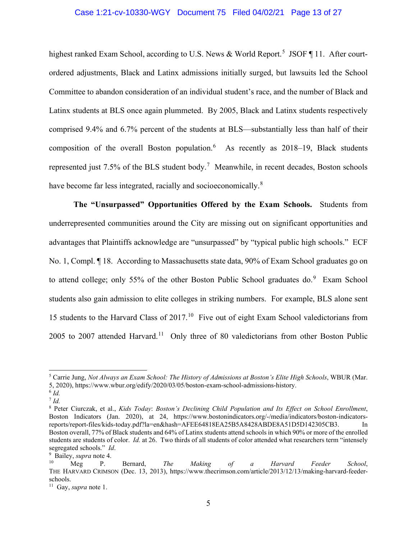#### Case 1:21-cv-10330-WGY Document 75 Filed 04/02/21 Page 13 of 27

highest ranked Exam School, according to U.S. News & World Report.<sup>[5](#page-12-0)</sup> JSOF 11. After courtordered adjustments, Black and Latinx admissions initially surged, but lawsuits led the School Committee to abandon consideration of an individual student's race, and the number of Black and Latinx students at BLS once again plummeted. By 2005, Black and Latinx students respectively comprised 9.4% and 6.7% percent of the students at BLS—substantially less than half of their composition of the overall Boston population. $6$  As recently as 2018–19, Black students represented just [7](#page-12-2).5% of the BLS student body.<sup>7</sup> Meanwhile, in recent decades, Boston schools have become far less integrated, racially and socioeconomically. $8$ 

**The "Unsurpassed" Opportunities Offered by the Exam Schools.** Students from underrepresented communities around the City are missing out on significant opportunities and advantages that Plaintiffs acknowledge are "unsurpassed" by "typical public high schools." ECF No. 1, Compl. ¶ 18. According to Massachusetts state data, 90% of Exam School graduates go on to attend college; only 55% of the other Boston Public School graduates do.<sup>[9](#page-12-4)</sup> Exam School students also gain admission to elite colleges in striking numbers. For example, BLS alone sent 15 students to the Harvard Class of 2017.<sup>[10](#page-12-5)</sup> Five out of eight Exam School valedictorians from 2005 to 2007 attended Harvard.<sup>11</sup> Only three of 80 valedictorians from other Boston Public

<span id="page-12-0"></span><sup>5</sup> Carrie Jung, *Not Always an Exam School: The History of Admissions at Boston's Elite High Schools*, WBUR (Mar. 5, 2020), https://www.wbur.org/edify/2020/03/05/boston-exam-school-admissions-history. 6 *Id.*

<span id="page-12-2"></span><span id="page-12-1"></span><sup>7</sup> *Id.*

<span id="page-12-3"></span><sup>8</sup> Peter Ciurczak, et al., *Kids Today*: *Boston's Declining Child Population and Its Effect on School Enrollment*, Boston Indicators (Jan. 2020), at 24, https://www.bostonindicators.org/-/media/indicators/boston-indicatorsreports/report-files/kids-today.pdf?la=en&hash=AFEE64818EA25B5A8428ABDE8A51D5D142305CB3. In Boston overall, 77% of Black students and 64% of Latinx students attend schools in which 90% or more of the enrolled students are students of color. *Id.* at 26. Two thirds of all students of color attended what researchers term "intensely segregated schools." *Id*.

<span id="page-12-5"></span><span id="page-12-4"></span><sup>&</sup>lt;sup>9</sup> Bailey, *supra* note 4.

Bailey, *supra* note 4. 10 Meg P. Bernard, *The Making of a Harvard Feeder School*, THE HARVARD CRIMSON (Dec. 13, 2013), https://www.thecrimson.com/article/2013/12/13/making-harvard-feederschools.

<span id="page-12-6"></span><sup>11</sup> Gay, *supra* note 1.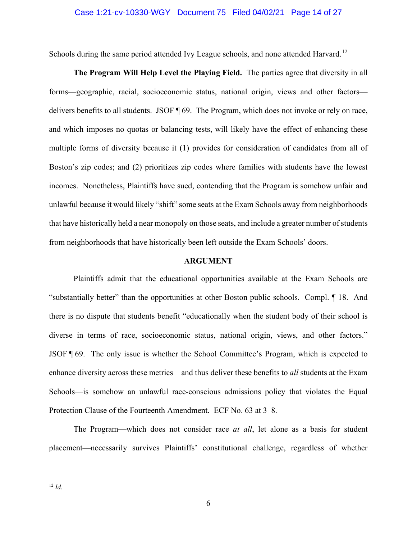#### Case 1:21-cv-10330-WGY Document 75 Filed 04/02/21 Page 14 of 27

Schools during the same period attended Ivy League schools, and none attended Harvard.<sup>[12](#page-13-1)</sup>

**The Program Will Help Level the Playing Field.** The parties agree that diversity in all forms—geographic, racial, socioeconomic status, national origin, views and other factors delivers benefits to all students. JSOF ¶ 69. The Program, which does not invoke or rely on race, and which imposes no quotas or balancing tests, will likely have the effect of enhancing these multiple forms of diversity because it (1) provides for consideration of candidates from all of Boston's zip codes; and (2) prioritizes zip codes where families with students have the lowest incomes. Nonetheless, Plaintiffs have sued, contending that the Program is somehow unfair and unlawful because it would likely "shift" some seats at the Exam Schools away from neighborhoods that have historically held a near monopoly on those seats, and include a greater number of students from neighborhoods that have historically been left outside the Exam Schools' doors.

#### **ARGUMENT**

<span id="page-13-0"></span>Plaintiffs admit that the educational opportunities available at the Exam Schools are "substantially better" than the opportunities at other Boston public schools. Compl. ¶ 18. And there is no dispute that students benefit "educationally when the student body of their school is diverse in terms of race, socioeconomic status, national origin, views, and other factors." JSOF ¶ 69. The only issue is whether the School Committee's Program, which is expected to enhance diversity across these metrics—and thus deliver these benefits to *all* students at the Exam Schools—is somehow an unlawful race-conscious admissions policy that violates the Equal Protection Clause of the Fourteenth Amendment. ECF No. 63 at 3–8.

<span id="page-13-1"></span>The Program—which does not consider race *at all*, let alone as a basis for student placement—necessarily survives Plaintiffs' constitutional challenge, regardless of whether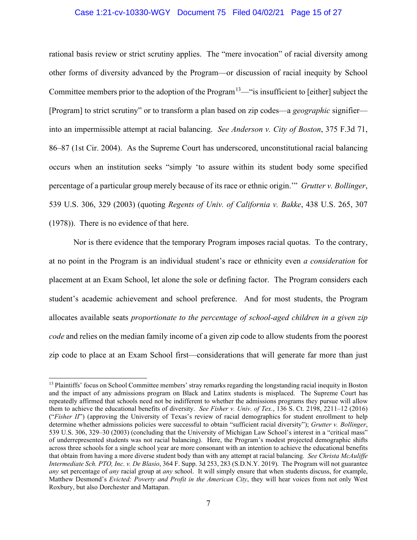#### Case 1:21-cv-10330-WGY Document 75 Filed 04/02/21 Page 15 of 27

rational basis review or strict scrutiny applies. The "mere invocation" of racial diversity among other forms of diversity advanced by the Program—or discussion of racial inequity by School Committee members prior to the adoption of the Program<sup>[13](#page-14-0)</sup>—"is insufficient to [either] subject the [Program] to strict scrutiny" or to transform a plan based on zip codes—a *geographic* signifier into an impermissible attempt at racial balancing. *See Anderson v. City of Boston*, 375 F.3d 71, 86–87 (1st Cir. 2004). As the Supreme Court has underscored, unconstitutional racial balancing occurs when an institution seeks "simply 'to assure within its student body some specified percentage of a particular group merely because of its race or ethnic origin.'" *Grutter v. Bollinger*, 539 U.S. 306, 329 (2003) (quoting *Regents of Univ. of California v. Bakke*, 438 U.S. 265, 307 (1978)). There is no evidence of that here.

Nor is there evidence that the temporary Program imposes racial quotas. To the contrary, at no point in the Program is an individual student's race or ethnicity even *a consideration* for placement at an Exam School, let alone the sole or defining factor. The Program considers each student's academic achievement and school preference. And for most students, the Program allocates available seats *proportionate to the percentage of school-aged children in a given zip code* and relies on the median family income of a given zip code to allow students from the poorest zip code to place at an Exam School first—considerations that will generate far more than just

<span id="page-14-0"></span><sup>&</sup>lt;sup>13</sup> Plaintiffs' focus on School Committee members' stray remarks regarding the longstanding racial inequity in Boston and the impact of any admissions program on Black and Latinx students is misplaced. The Supreme Court has repeatedly affirmed that schools need not be indifferent to whether the admissions programs they pursue will allow them to achieve the educational benefits of diversity. *See Fisher v. Univ. of Tex.*, 136 S. Ct. 2198, 2211–12 (2016) ("*Fisher II*") (approving the University of Texas's review of racial demographics for student enrollment to help determine whether admissions policies were successful to obtain "sufficient racial diversity"); *Grutter v. Bollinger*, 539 U.S. 306, 329–30 (2003) (concluding that the University of Michigan Law School's interest in a "critical mass" of underrepresented students was not racial balancing). Here, the Program's modest projected demographic shifts across three schools for a single school year are more consonant with an intention to achieve the educational benefits that obtain from having a more diverse student body than with any attempt at racial balancing*. See Christa McAuliffe Intermediate Sch. PTO, Inc. v. De Blasio*, 364 F. Supp. 3d 253, 283 (S.D.N.Y. 2019). The Program will not guarantee *any* set percentage of *any* racial group at *any* school. It will simply ensure that when students discuss, for example, Matthew Desmond's *Evicted: Poverty and Profit in the American City*, they will hear voices from not only West Roxbury, but also Dorchester and Mattapan.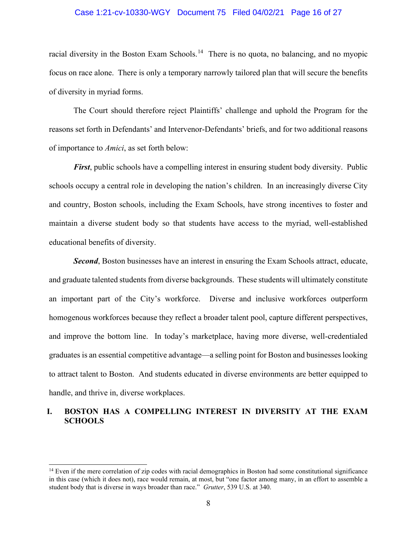#### Case 1:21-cv-10330-WGY Document 75 Filed 04/02/21 Page 16 of 27

racial diversity in the Boston Exam Schools.<sup>[14](#page-15-1)</sup> There is no quota, no balancing, and no myopic focus on race alone. There is only a temporary narrowly tailored plan that will secure the benefits of diversity in myriad forms.

The Court should therefore reject Plaintiffs' challenge and uphold the Program for the reasons set forth in Defendants' and Intervenor-Defendants' briefs, and for two additional reasons of importance to *Amici*, as set forth below:

*First*, public schools have a compelling interest in ensuring student body diversity. Public schools occupy a central role in developing the nation's children. In an increasingly diverse City and country, Boston schools, including the Exam Schools, have strong incentives to foster and maintain a diverse student body so that students have access to the myriad, well-established educational benefits of diversity.

**Second**, Boston businesses have an interest in ensuring the Exam Schools attract, educate, and graduate talented students from diverse backgrounds. These students will ultimately constitute an important part of the City's workforce. Diverse and inclusive workforces outperform homogenous workforces because they reflect a broader talent pool, capture different perspectives, and improve the bottom line. In today's marketplace, having more diverse, well-credentialed graduates is an essential competitive advantage—a selling point for Boston and businesses looking to attract talent to Boston. And students educated in diverse environments are better equipped to handle, and thrive in, diverse workplaces.

### <span id="page-15-0"></span>**I. BOSTON HAS A COMPELLING INTEREST IN DIVERSITY AT THE EXAM SCHOOLS**

<span id="page-15-1"></span><sup>&</sup>lt;sup>14</sup> Even if the mere correlation of zip codes with racial demographics in Boston had some constitutional significance in this case (which it does not), race would remain, at most, but "one factor among many, in an effort to assemble a student body that is diverse in ways broader than race." *Grutter*, 539 U.S. at 340.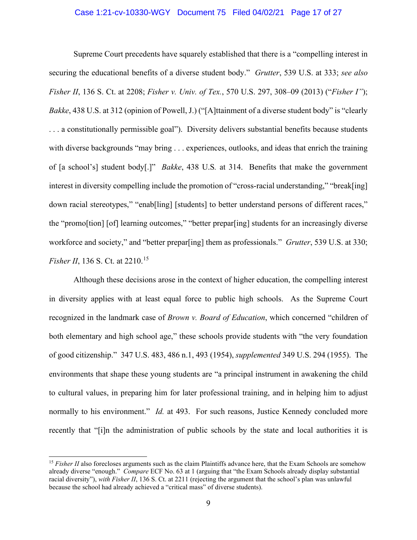#### Case 1:21-cv-10330-WGY Document 75 Filed 04/02/21 Page 17 of 27

Supreme Court precedents have squarely established that there is a "compelling interest in securing the educational benefits of a diverse student body." *Grutter*, 539 U.S. at 333; *see also Fisher II*, 136 S. Ct. at 2208; *Fisher v. Univ. of Tex.*, 570 U.S. 297, 308–09 (2013) ("*Fisher I"*); *Bakke*, 438 U.S. at 312 (opinion of Powell, J.) ("[A]ttainment of a diverse student body" is "clearly . . . a constitutionally permissible goal"). Diversity delivers substantial benefits because students with diverse backgrounds "may bring . . . experiences, outlooks, and ideas that enrich the training of [a school's] student body[.]" *Bakke*, 438 U.S*.* at 314. Benefits that make the government interest in diversity compelling include the promotion of "cross-racial understanding," "break[ing] down racial stereotypes," "enab<sup>[ling]</sup> [students] to better understand persons of different races," the "promo[tion] [of] learning outcomes," "better prepar[ing] students for an increasingly diverse workforce and society," and "better prepar[ing] them as professionals." *Grutter*, 539 U.S. at 330; *Fisher II*, 136 S. Ct. at 2210.<sup>15</sup>

Although these decisions arose in the context of higher education, the compelling interest in diversity applies with at least equal force to public high schools. As the Supreme Court recognized in the landmark case of *Brown v. Board of Education*, which concerned "children of both elementary and high school age," these schools provide students with "the very foundation of good citizenship." 347 U.S. 483, 486 n.1, 493 (1954), *supplemented* 349 U.S. 294 (1955). The environments that shape these young students are "a principal instrument in awakening the child to cultural values, in preparing him for later professional training, and in helping him to adjust normally to his environment." *Id.* at 493. For such reasons, Justice Kennedy concluded more recently that "[i]n the administration of public schools by the state and local authorities it is

<span id="page-16-0"></span><sup>&</sup>lt;sup>15</sup> Fisher II also forecloses arguments such as the claim Plaintiffs advance here, that the Exam Schools are somehow already diverse "enough." *Compare* ECF No. 63 at 1 (arguing that "the Exam Schools already display substantial racial diversity"), *with Fisher II*, 136 S. Ct. at 2211 (rejecting the argument that the school's plan was unlawful because the school had already achieved a "critical mass" of diverse students).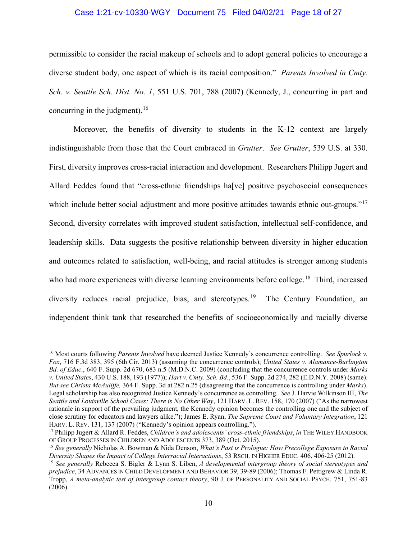#### Case 1:21-cv-10330-WGY Document 75 Filed 04/02/21 Page 18 of 27

permissible to consider the racial makeup of schools and to adopt general policies to encourage a diverse student body, one aspect of which is its racial composition." *Parents Involved in Cmty. Sch. v. Seattle Sch. Dist. No. 1*, 551 U.S. 701, 788 (2007) (Kennedy, J., concurring in part and concurring in the judgment).  $16$ 

Moreover, the benefits of diversity to students in the K-12 context are largely indistinguishable from those that the Court embraced in *Grutter*. *See Grutter*, 539 U.S. at 330. First, diversity improves cross-racial interaction and development. Researchers Philipp Jugert and Allard Feddes found that "cross-ethnic friendships ha[ve] positive psychosocial consequences which include better social adjustment and more positive attitudes towards ethnic out-groups."<sup>[17](#page-17-1)</sup> Second, diversity correlates with improved student satisfaction, intellectual self-confidence, and leadership skills. Data suggests the positive relationship between diversity in higher education and outcomes related to satisfaction, well-being, and racial attitudes is stronger among students who had more experiences with diverse learning environments before college.<sup>[18](#page-17-2)</sup> Third, increased diversity reduces racial prejudice, bias, and stereotypes*.* The Century Foundation, an independent think tank that researched the benefits of socioeconomically and racially diverse

<span id="page-17-0"></span><sup>16</sup> Most courts following *Parents Involved* have deemed Justice Kennedy's concurrence controlling. *See Spurlock v. Fox*, 716 F.3d 383, 395 (6th Cir. 2013) (assuming the concurrence controls); *United States v. Alamance-Burlington Bd. of Educ.*, 640 F. Supp. 2d 670, 683 n.5 (M.D.N.C. 2009) (concluding that the concurrence controls under *Marks v. United States*, 430 U.S. 188, 193 (1977)); *Hart v. Cmty. Sch. Bd*., 536 F. Supp. 2d 274, 282 (E.D.N.Y. 2008) (same). *But see Christa McAuliffe,* 364 F. Supp. 3d at 282 n.25 (disagreeing that the concurrence is controlling under *Marks*). Legal scholarship has also recognized Justice Kennedy's concurrence as controlling. *See* J. Harvie Wilkinson III, *The Seattle and Louisville School Cases: There is No Other Way*, 121 HARV. L. REV. 158, 170 (2007) ("As the narrowest rationale in support of the prevailing judgment, the Kennedy opinion becomes the controlling one and the subject of close scrutiny for educators and lawyers alike."); James E. Ryan, *The Supreme Court and Voluntary Integration*, 121 HARV. L. REV. 131, 137 (2007) ("Kennedy's opinion appears controlling.").

<span id="page-17-1"></span><sup>17</sup> Philipp Jugert & Allard R. Feddes, *Children's and adolescents' cross-ethnic friendships*, *in* THE WILEY HANDBOOK OF GROUP PROCESSES IN CHILDREN AND ADOLESCENTS 373, 389 (Oct. 2015).

<span id="page-17-2"></span><sup>18</sup> *See generally* Nicholas A. Bowman & Nida Denson, *What's Past is Prologue: How Precollege Exposure to Racial*  Diversity Shapes the Impact of College Interracial Interactions, 53 RSCH. IN HIGHER EDUC. 406, 406-25 (2012).<br><sup>19</sup> See generally Rebecca S. Bigler & Lynn S. Liben, A developmental intergroup theory of social stereotypes an

<span id="page-17-3"></span>*prejudice*, 34 ADVANCES IN CHILD DEVELOPMENT AND BEHAVIOR 39, 39-89 (2006); Thomas F. Pettigrew & Linda R. Tropp, *A meta-analytic test of intergroup contact theory*, 90 J. OF PERSONALITY AND SOCIAL PSYCH. 751, 751-83 (2006).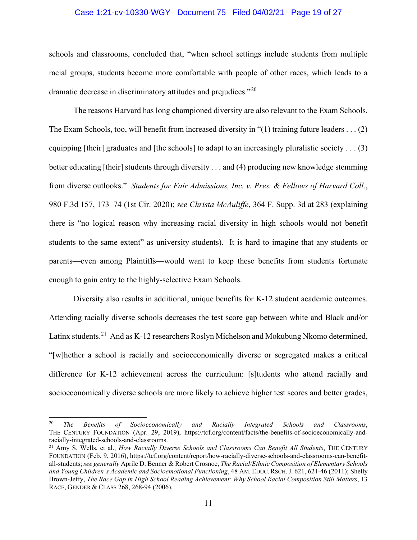#### Case 1:21-cv-10330-WGY Document 75 Filed 04/02/21 Page 19 of 27

schools and classrooms, concluded that, "when school settings include students from multiple racial groups, students become more comfortable with people of other races, which leads to a dramatic decrease in discriminatory attitudes and prejudices."[20](#page-18-0)

The reasons Harvard has long championed diversity are also relevant to the Exam Schools. The Exam Schools, too, will benefit from increased diversity in "(1) training future leaders . . . (2) equipping [their] graduates and [the schools] to adapt to an increasingly pluralistic society . . . (3) better educating [their] students through diversity . . . and (4) producing new knowledge stemming from diverse outlooks." *Students for Fair Admissions, Inc. v. Pres. & Fellows of Harvard Coll.*, 980 F.3d 157, 173–74 (1st Cir. 2020); *see Christa McAuliffe*, 364 F. Supp. 3d at 283 (explaining there is "no logical reason why increasing racial diversity in high schools would not benefit students to the same extent" as university students). It is hard to imagine that any students or parents—even among Plaintiffs—would want to keep these benefits from students fortunate enough to gain entry to the highly-selective Exam Schools.

Diversity also results in additional, unique benefits for K-12 student academic outcomes. Attending racially diverse schools decreases the test score gap between white and Black and/or Latinx students.<sup>21</sup> And as K-12 researchers Roslyn Michelson and Mokubung Nkomo determined, "[w]hether a school is racially and socioeconomically diverse or segregated makes a critical difference for K-12 achievement across the curriculum: [s]tudents who attend racially and socioeconomically diverse schools are more likely to achieve higher test scores and better grades,

<span id="page-18-0"></span><sup>20</sup> *The Benefits of Socioeconomically and Racially Integrated Schools and Classrooms*, THE CENTURY FOUNDATION (Apr. 29, 2019), https://tcf.org/content/facts/the-benefits-of-socioeconomically-andracially-integrated-schools-and-classrooms.

<span id="page-18-1"></span><sup>21</sup> Amy S. Wells, et al., *How Racially Diverse Schools and Classrooms Can Benefit All Students*, THE CENTURY FOUNDATION (Feb. 9, 2016), https://tcf.org/content/report/how-racially-diverse-schools-and-classrooms-can-benefitall-students; *see generally* Aprile D. Benner & Robert Crosnoe, *The Racial/Ethnic Composition of Elementary Schools and Young Children's Academic and Socioemotional Functioning*, 48 AM. EDUC. RSCH.J. 621, 621-46 (2011); Shelly Brown-Jeffy, *The Race Gap in High School Reading Achievement: Why School Racial Composition Still Matters*, 13 RACE, GENDER & CLASS 268, 268-94 (2006).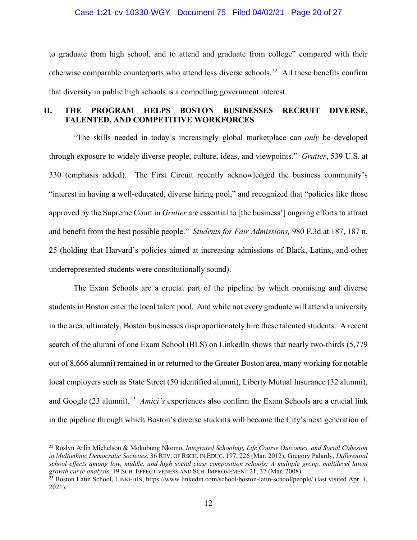#### Case 1:21-cv-10330-WGY Document 75 Filed 04/02/21 Page 20 of 27

to graduate from high school, and to attend and graduate from college" compared with their otherwise comparable counterparts who attend less diverse schools.<sup>22</sup> All these benefits confirm that diversity in public high schools is a compelling government interest.

### <span id="page-19-0"></span>**II. THE PROGRAM HELPS BOSTON BUSINESSES RECRUIT DIVERSE, TALENTED, AND COMPETITIVE WORKFORCES**

"The skills needed in today's increasingly global marketplace can *only* be developed through exposure to widely diverse people, culture, ideas, and viewpoints." *Grutter*, 539 U.S. at 330 (emphasis added). The First Circuit recently acknowledged the business community's "interest in having a well-educated, diverse hiring pool," and recognized that "policies like those approved by the Supreme Court in *Grutter* are essential to [the business'] ongoing efforts to attract and benefit from the best possible people." *Students for Fair Admissions,* 980 F.3d at 187, 187 n. 25 (holding that Harvard's policies aimed at increasing admissions of Black, Latinx, and other underrepresented students were constitutionally sound).

The Exam Schools are a crucial part of the pipeline by which promising and diverse students in Boston enter the local talent pool. And while not every graduate will attend a university in the area, ultimately, Boston businesses disproportionately hire these talented students. A recent search of the alumni of one Exam School (BLS) on LinkedIn shows that nearly two-thirds (5,779 out of 8,666 alumni) remained in or returned to the Greater Boston area, many working for notable local employers such as State Street (50 identified alumni), Liberty Mutual Insurance (32 alumni), and Google ([23](#page-19-2) alumni).<sup>23</sup> *Amici's* experiences also confirm the Exam Schools are a crucial link in the pipeline through which Boston's diverse students will become the City's next generation of

<span id="page-19-1"></span><sup>22</sup> Roslyn Arlin Michelson & Mokubung Nkomo, *Integrated Schooling, Life Course Outcomes, and Social Cohesion in Multiethnic Democratic Societies*, 36 REV. OF RSCH. IN EDUC. 197, 226 (Mar. 2012); Gregory Palardy, *Differential*  school effects among low, middle, and high social class composition schools: A multiple group, multilevel latent growth curve analysis, 19 SCH. EFFECTIVENESS AND SCH. IMPROVEMENT 21, 37 (Mar. 2008).<br><sup>23</sup> Boston Latin School, LINKEDIN, https://www.linkedin.com/school/boston-latin-school/people/ (last visited Apr. 1,

<span id="page-19-2"></span><sup>2021).</sup>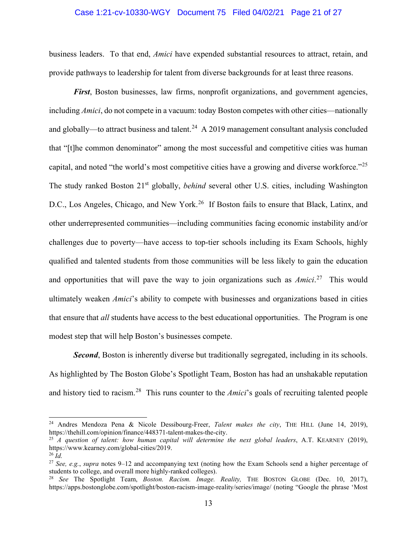#### Case 1:21-cv-10330-WGY Document 75 Filed 04/02/21 Page 21 of 27

business leaders. To that end, *Amici* have expended substantial resources to attract, retain, and provide pathways to leadership for talent from diverse backgrounds for at least three reasons.

*First*, Boston businesses, law firms, nonprofit organizations, and government agencies, including *Amici*, do not compete in a vacuum: today Boston competes with other cities—nationally and globally—to attract business and talent.<sup>24</sup> A 2019 management consultant analysis concluded that "[t]he common denominator" among the most successful and competitive cities was human capital, and noted "the world's most competitive cities have a growing and diverse workforce."<sup>[25](#page-20-1)</sup> The study ranked Boston 21<sup>st</sup> globally, *behind* several other U.S. cities, including Washington D.C., Los Angeles, Chicago, and New York.<sup>[26](#page-20-2)</sup> If Boston fails to ensure that Black, Latinx, and other underrepresented communities—including communities facing economic instability and/or challenges due to poverty—have access to top-tier schools including its Exam Schools, highly qualified and talented students from those communities will be less likely to gain the education and opportunities that will pave the way to join organizations such as *Amici*. [27](#page-20-3) This would ultimately weaken *Amici*'s ability to compete with businesses and organizations based in cities that ensure that *all* students have access to the best educational opportunities. The Program is one modest step that will help Boston's businesses compete.

**Second**, Boston is inherently diverse but traditionally segregated, including in its schools. As highlighted by The Boston Globe's Spotlight Team, Boston has had an unshakable reputation and history tied to racism.[28](#page-20-4) This runs counter to the *Amici*'s goals of recruiting talented people

<span id="page-20-0"></span><sup>24</sup> Andres Mendoza Pena & Nicole Dessibourg-Freer, *Talent makes the city*, THE HILL (June 14, 2019), https://thehill.com/opinion/finance/448371-talent-makes-the-city. 25 *A question of talent: how human capital will determine the next global leaders*, A.T. KEARNEY (2019),

<span id="page-20-1"></span>https://www.kearney.com/global-cities/2019.

<span id="page-20-2"></span><sup>26</sup> *Id.*

<span id="page-20-3"></span><sup>27</sup> *See, e.g.*, *supra* notes 9–12 and accompanying text (noting how the Exam Schools send a higher percentage of students to college, and overall more highly-ranked colleges).

<span id="page-20-4"></span><sup>28</sup> *See* The Spotlight Team, *Boston. Racism. Image. Reality,* THE BOSTON GLOBE (Dec. 10, 2017), https://apps.bostonglobe.com/spotlight/boston-racism-image-reality/series/image/ (noting "Google the phrase 'Most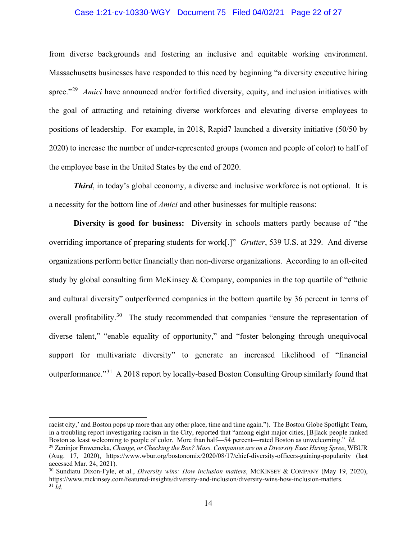#### Case 1:21-cv-10330-WGY Document 75 Filed 04/02/21 Page 22 of 27

from diverse backgrounds and fostering an inclusive and equitable working environment. Massachusetts businesses have responded to this need by beginning "a diversity executive hiring spree."<sup>[29](#page-21-0)</sup> *Amici* have announced and/or fortified diversity, equity, and inclusion initiatives with the goal of attracting and retaining diverse workforces and elevating diverse employees to positions of leadership. For example, in 2018, Rapid7 launched a diversity initiative (50/50 by 2020) to increase the number of under-represented groups (women and people of color) to half of the employee base in the United States by the end of 2020.

*Third*, in today's global economy, a diverse and inclusive workforce is not optional. It is a necessity for the bottom line of *Amici* and other businesses for multiple reasons:

**Diversity is good for business:** Diversity in schools matters partly because of "the overriding importance of preparing students for work[.]" *Grutter*, 539 U.S. at 329. And diverse organizations perform better financially than non-diverse organizations. According to an oft-cited study by global consulting firm McKinsey & Company, companies in the top quartile of "ethnic and cultural diversity" outperformed companies in the bottom quartile by 36 percent in terms of overall profitability.<sup>[30](#page-21-1)</sup> The study recommended that companies "ensure the representation of diverse talent," "enable equality of opportunity," and "foster belonging through unequivocal support for multivariate diversity" to generate an increased likelihood of "financial outperformance."[31](#page-21-2) A 2018 report by locally-based Boston Consulting Group similarly found that

racist city,' and Boston pops up more than any other place, time and time again."). The Boston Globe Spotlight Team, in a troubling report investigating racism in the City, reported that "among eight major cities, [B]lack people ranked Boston as least welcoming to people of color. More than half—54 percent—rated Boston as unwelcoming."

<span id="page-21-0"></span><sup>&</sup>lt;sup>29</sup> Zeninjor Enwemeka, Change, or Checking the Box? Mass. Companies are on a Diversity Exec Hiring Spree, WBUR (Aug. 17, 2020), https://www.wbur.org/bostonomix/2020/08/17/chief-diversity-officers-gaining-popularity (last accessed Mar. 24, 2021).

<span id="page-21-2"></span><span id="page-21-1"></span><sup>30</sup> Sundiatu Dixon-Fyle, et al., *Diversity wins: How inclusion matters*, MCKINSEY & COMPANY (May 19, 2020), https://www.mckinsey.com/featured-insights/diversity-and-inclusion/diversity-wins-how-inclusion-matters. 31 *Id.*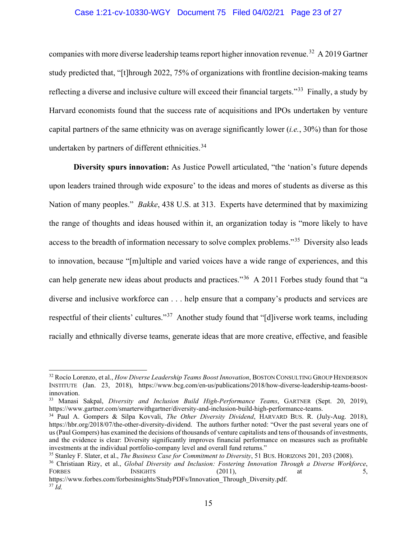#### Case 1:21-cv-10330-WGY Document 75 Filed 04/02/21 Page 23 of 27

companies with more diverse leadership teams report higher innovation revenue.<sup>32</sup> A 2019 Gartner study predicted that, "[t]hrough 2022, 75% of organizations with frontline decision-making teams reflecting a diverse and inclusive culture will exceed their financial targets."<sup>33</sup> Finally, a study by Harvard economists found that the success rate of acquisitions and IPOs undertaken by venture capital partners of the same ethnicity was on average significantly lower (*i.e.*, 30%) than for those undertaken by partners of different ethnicities.<sup>[34](#page-22-2)</sup>

**Diversity spurs innovation:** As Justice Powell articulated, "the 'nation's future depends upon leaders trained through wide exposure' to the ideas and mores of students as diverse as this Nation of many peoples." *Bakke*, 438 U.S. at 313. Experts have determined that by maximizing the range of thoughts and ideas housed within it, an organization today is "more likely to have access to the breadth of information necessary to solve complex problems."<sup>[35](#page-22-3)</sup> Diversity also leads to innovation, because "[m]ultiple and varied voices have a wide range of experiences, and this can help generate new ideas about products and practices."[36](#page-22-4) A 2011 Forbes study found that "a diverse and inclusive workforce can . . . help ensure that a company's products and services are respectful of their clients' cultures."[37](#page-22-5) Another study found that "[d]iverse work teams, including racially and ethnically diverse teams, generate ideas that are more creative, effective, and feasible

<span id="page-22-0"></span><sup>32</sup> Rocío Lorenzo, et al., *How Diverse Leadership Teams Boost Innovation*, BOSTON CONSULTING GROUP HENDERSON INSTITUTE (Jan. 23, 2018), https://www.bcg.com/en-us/publications/2018/how-diverse-leadership-teams-boostinnovation.

<span id="page-22-1"></span><sup>&</sup>lt;sup>33</sup> Manasi Sakpal, *Diversity and Inclusion Build High-Performance Teams*, GARTNER (Sept. 20, 2019), https://www.gartner.com/smarterwithgartner/diversity-and-inclusion-build-high-performance-teams.

<span id="page-22-2"></span><sup>&</sup>lt;sup>34</sup> Paul A. Gompers & Silpa Kovvali, *The Other Diversity Dividend*, HARVARD BUS. R. (July-Aug. 2018), https://hbr.org/2018/07/the-other-diversity-dividend. The authors further noted: "Over the past several years one of us (Paul Gompers) has examined the decisions of thousands of venture capitalists and tens of thousands of investments, and the evidence is clear: Diversity significantly improves financial performance on measures such as profitable investments at the individual portfolio-company level and overall fund returns."

<span id="page-22-3"></span><sup>35</sup> Stanley F. Slater, et al., *The Business Case for Commitment to Diversity*, 51 BUS. HORIZONS 201, 203 (2008).

<span id="page-22-4"></span><sup>36</sup> Christiaan Rizy, et al., *Global Diversity and Inclusion: Fostering Innovation Through a Diverse Workforce*, FORBES INSIGHTS (2011), at 5,

<span id="page-22-5"></span>https://www.forbes.com/forbesinsights/StudyPDFs/Innovation\_Through\_Diversity.pdf.  $37 \tilde{I}$ d.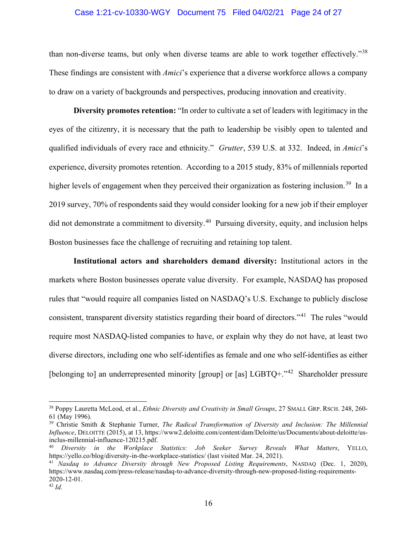#### Case 1:21-cv-10330-WGY Document 75 Filed 04/02/21 Page 24 of 27

than non-diverse teams, but only when diverse teams are able to work together effectively."[38](#page-23-0) These findings are consistent with *Amici*'s experience that a diverse workforce allows a company to draw on a variety of backgrounds and perspectives, producing innovation and creativity.

**Diversity promotes retention:** "In order to cultivate a set of leaders with legitimacy in the eyes of the citizenry, it is necessary that the path to leadership be visibly open to talented and qualified individuals of every race and ethnicity." *Grutter*, 539 U.S. at 332. Indeed, in *Amici*'s experience, diversity promotes retention. According to a 2015 study, 83% of millennials reported higher levels of engagement when they perceived their organization as fostering inclusion.<sup>39</sup> In a 2019 survey, 70% of respondents said they would consider looking for a new job if their employer did not demonstrate a commitment to diversity.<sup>40</sup> Pursuing diversity, equity, and inclusion helps Boston businesses face the challenge of recruiting and retaining top talent.

**Institutional actors and shareholders demand diversity:** Institutional actors in the markets where Boston businesses operate value diversity. For example, NASDAQ has proposed rules that "would require all companies listed on NASDAQ's U.S. Exchange to publicly disclose consistent, transparent diversity statistics regarding their board of directors."[41](#page-23-3) The rules "would require most NASDAQ-listed companies to have, or explain why they do not have, at least two diverse directors, including one who self-identifies as female and one who self-identifies as either [belonging to] an underrepresented minority [group] or [as]  $LGBTO+.$ <sup>242</sup> Shareholder pressure

<span id="page-23-0"></span><sup>38</sup> Poppy Lauretta McLeod, et al*.*, *Ethnic Diversity and Creativity in Small Groups*, 27 SMALL GRP. RSCH. 248, 260- 61 (May 1996).

<span id="page-23-1"></span><sup>39</sup> Christie Smith & Stephanie Turner, *The Radical Transformation of Diversity and Inclusion: The Millennial Influence*, DELOITTE (2015), at 13, https://www2.deloitte.com/content/dam/Deloitte/us/Documents/about-deloitte/usinclus-millennial-influence-120215.pdf.

<span id="page-23-2"></span><sup>40</sup> *Diversity in the Workplace Statistics: Job Seeker Survey Reveals What Matters*, YELLO, https://yello.co/blog/diversity-in-the-workplace-statistics/ (last visited Mar. 24, 2021).

<span id="page-23-4"></span><span id="page-23-3"></span><sup>41</sup> *Nasdaq to Advance Diversity through New Proposed Listing Requirements*, NASDAQ (Dec. 1, 2020), https://www.nasdaq.com/press-release/nasdaq-to-advance-diversity-through-new-proposed-listing-requirements-2020-12-01.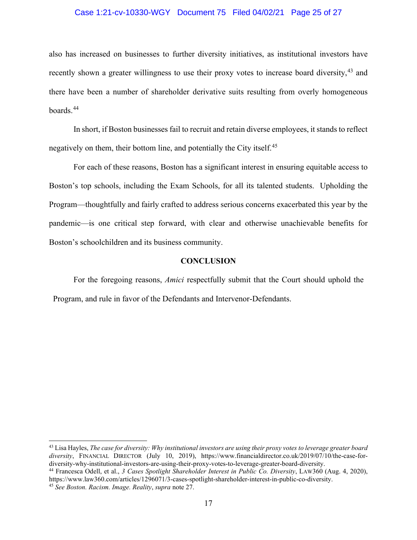#### Case 1:21-cv-10330-WGY Document 75 Filed 04/02/21 Page 25 of 27

also has increased on businesses to further diversity initiatives, as institutional investors have recently shown a greater willingness to use their proxy votes to increase board diversity, <sup>[43](#page-24-1)</sup> and there have been a number of shareholder derivative suits resulting from overly homogeneous boards.[44](#page-24-2) 

In short, if Boston businesses fail to recruit and retain diverse employees, it stands to reflect negatively on them, their bottom line, and potentially the City itself.<sup>45</sup>

For each of these reasons, Boston has a significant interest in ensuring equitable access to Boston's top schools, including the Exam Schools, for all its talented students. Upholding the Program—thoughtfully and fairly crafted to address serious concerns exacerbated this year by the pandemic—is one critical step forward, with clear and otherwise unachievable benefits for Boston's schoolchildren and its business community.

#### **CONCLUSION**

<span id="page-24-0"></span>For the foregoing reasons, *Amici* respectfully submit that the Court should uphold the Program, and rule in favor of the Defendants and Intervenor-Defendants.

<span id="page-24-1"></span><sup>43</sup> Lisa Hayles, *The case for diversity: Why institutional investors are using their proxy votes to leverage greater board diversity*, FINANCIAL DIRECTOR (July 10, 2019), https://www.financialdirector.co.uk/2019/07/10/the-case-fordiversity-why-institutional-investors-are-using-their-proxy-votes-to-leverage-greater-board-diversity.

<span id="page-24-2"></span><sup>44</sup> Francesca Odell, et al., *3 Cases Spotlight Shareholder Interest in Public Co. Diversity*, LAW360 (Aug. 4, 2020), https://www.law360.com/articles/1296071/3-cases-spotlight-shareholder-interest-in-public-co-diversity.

<span id="page-24-3"></span><sup>45</sup> *See Boston. Racism. Image. Reality*, *supra* note 27.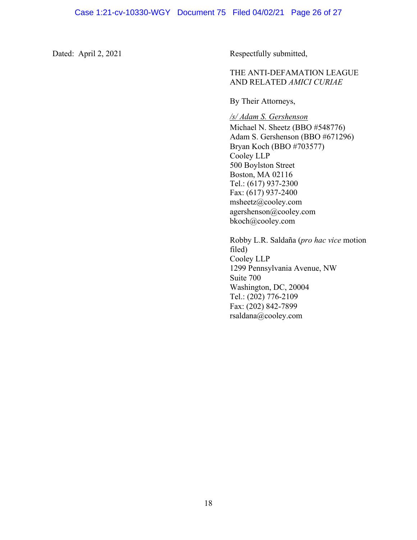Dated: April 2, 2021 Respectfully submitted,

## THE ANTI-DEFAMATION LEAGUE AND RELATED *AMICI CURIAE*

By Their Attorneys,

*/s/ Adam S. Gershenson*

Michael N. Sheetz (BBO #548776) Adam S. Gershenson (BBO #671296) Bryan Koch (BBO #703577) Cooley LLP 500 Boylston Street Boston, MA 02116 Tel.: (617) 937-2300 Fax: (617) 937-2400 msheetz@cooley.com agershenson@cooley.com bkoch@cooley.com

Robby L.R. Saldaña (*pro hac vice* motion filed) Cooley LLP 1299 Pennsylvania Avenue, NW Suite 700 Washington, DC, 20004 Tel.: (202) 776-2109 Fax: (202) 842-7899 rsaldana@cooley.com